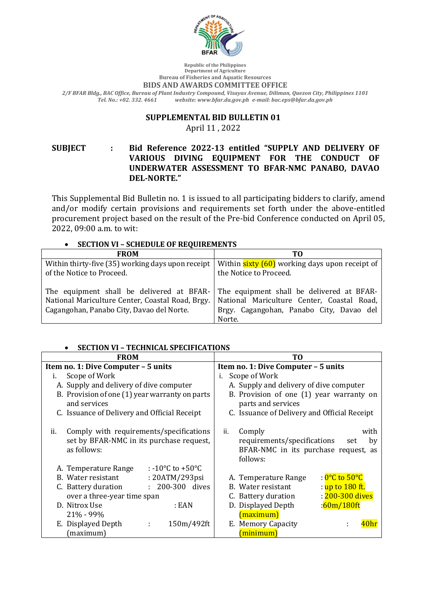

**Republic of the Philippines Department of Agriculture Bureau of Fisheries and Aquatic Resources**

#### **BIDS AND AWARDS COMMITTEE OFFICE**

*2/F BFAR Bldg., BAC Office, Bureau of Plant Industry Compound, Visayas Avenue, Diliman, Quezon City, Philippines 1101 Tel. No.: +02. 332. 4661 website: www.bfar.da.gov.ph e-mail: bac.eps@bfar.da.gov.ph*

#### **SUPPLEMENTAL BID BULLETIN 01**

April 11, 2022

**SUBJECT : Bid Reference 2022-13 entitled "SUPPLY AND DELIVERY OF**  VARIOUS DIVING EQUIPMENT FOR THE CONDUCT OF **UNDERWATER ASSESSMENT TO BFAR-NMC PANABO, DAVAO DEL-NORTE."**

This Supplemental Bid Bulletin no. 1 is issued to all participating bidders to clarify, amend and/or modify certain provisions and requirements set forth under the above-entitled procurement project based on the result of the Pre-bid Conference conducted on April 05, 2022, 09:00 a.m. to wit:

## • **SECTION VI – SCHEDULE OF REQUIREMENTS**

| <b>FROM</b>                                                                                                                                | тο                                                                                                                                            |
|--------------------------------------------------------------------------------------------------------------------------------------------|-----------------------------------------------------------------------------------------------------------------------------------------------|
| Within thirty-five (35) working days upon receipt                                                                                          | Within <b>sixty (60)</b> working days upon receipt of                                                                                         |
| of the Notice to Proceed.                                                                                                                  | the Notice to Proceed.                                                                                                                        |
| The equipment shall be delivered at BFAR-<br>National Mariculture Center, Coastal Road, Brgy.<br>Cagangohan, Panabo City, Davao del Norte. | The equipment shall be delivered at BFAR-<br>National Mariculture Center, Coastal Road,<br>Brgy. Cagangohan, Panabo City, Davao del<br>Norte. |

## • **SECTION VI – TECHNICAL SPECIFICATIONS**

| <b>FROM</b>                                                                                               | ТO                                                                                                                    |
|-----------------------------------------------------------------------------------------------------------|-----------------------------------------------------------------------------------------------------------------------|
| Item no. 1: Dive Computer - 5 units                                                                       | Item no. 1: Dive Computer - 5 units                                                                                   |
| Scope of Work<br>i.                                                                                       | Scope of Work<br>i.                                                                                                   |
| A. Supply and delivery of dive computer                                                                   | A. Supply and delivery of dive computer                                                                               |
| B. Provision of one (1) year warranty on parts<br>and services                                            | B. Provision of one (1) year warranty on<br>parts and services                                                        |
| C. Issuance of Delivery and Official Receipt                                                              | C. Issuance of Delivery and Official Receipt                                                                          |
| Comply with requirements/specifications<br>ii.<br>set by BFAR-NMC in its purchase request,<br>as follows: | Comply<br>with<br>ii.<br>requirements/specifications<br>set<br>by<br>BFAR-NMC in its purchase request, as<br>follows: |
| : -10 $\degree$ C to +50 $\degree$ C<br>A. Temperature Range                                              |                                                                                                                       |
| B. Water resistant<br>: 20ATM/293psi                                                                      | : <mark>0°C to 50°C</mark><br>A. Temperature Range                                                                    |
| : 200-300 dives<br>C. Battery duration                                                                    | B. Water resistant<br><u>: up to 180 ft.</u>                                                                          |
| over a three-year time span                                                                               | : 200-300 dives<br>C. Battery duration                                                                                |
| D. Nitrox Use<br>: EAN                                                                                    | :60m/180ft<br>D. Displayed Depth                                                                                      |
| 21% - 99%                                                                                                 | (maximum)                                                                                                             |
| E. Displayed Depth<br>150m/492ft<br>÷<br>(maximum)                                                        | E. Memory Capacity<br>minimum)                                                                                        |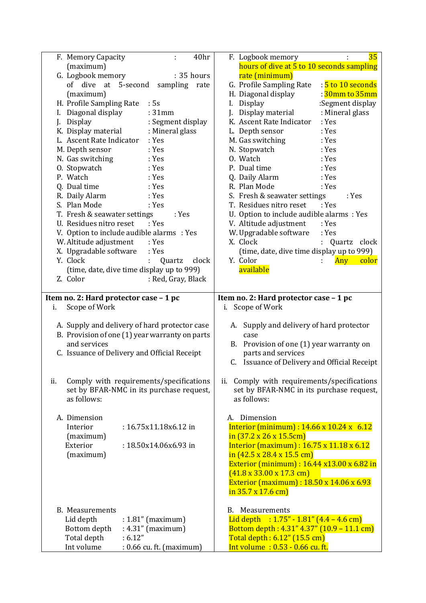| F. Memory Capacity<br>40hr<br>÷                                 | F. Logbook memory<br>35                                          |
|-----------------------------------------------------------------|------------------------------------------------------------------|
| (maximum)                                                       | hours of dive at 5 to 10 seconds sampling                        |
| G. Logbook memory<br>: 35 hours                                 | rate (minimum)                                                   |
| of dive at 5-second<br>sampling<br>rate                         | : 5 to 10 seconds<br>G. Profile Sampling Rate                    |
| (maximum)                                                       | : <mark>30mm to 35mm</mark><br>H. Diagonal display               |
| H. Profile Sampling Rate<br>:5s                                 | Display<br>:Segment display<br>I.                                |
| Diagonal display<br>: 31mm                                      | Display material<br>: Mineral glass                              |
| : Segment display<br>Display<br>J.                              | K. Ascent Rate Indicator<br>: Yes                                |
| K. Display material<br>: Mineral glass                          | L. Depth sensor<br>: Yes                                         |
| L. Ascent Rate Indicator<br>: Yes                               | M. Gas switching<br>: Yes                                        |
| M. Depth sensor<br>: Yes                                        | N. Stopwatch<br>: Yes                                            |
| : Yes                                                           | 0. Watch<br>: Yes                                                |
| N. Gas switching                                                |                                                                  |
| O. Stopwatch<br>: Yes                                           | P. Dual time<br>: Yes                                            |
| P. Watch<br>: Yes                                               | Q. Daily Alarm<br>: Yes                                          |
| Q. Dual time<br>: Yes                                           | R. Plan Mode<br>: Yes                                            |
| R. Daily Alarm<br>: Yes                                         | S. Fresh & seawater settings<br>: Yes                            |
| S. Plan Mode<br>: Yes                                           | T. Residues nitro reset<br>: Yes                                 |
| T. Fresh & seawater settings<br>: Yes                           | U. Option to include audible alarms : Yes                        |
| U. Residues nitro reset<br>: Yes                                | V. Altitude adjustment<br>: Yes                                  |
| V. Option to include audible alarms : Yes                       | W. Upgradable software<br>: Yes                                  |
| W. Altitude adjustment<br>: Yes                                 | X. Clock<br>Quartz<br>clock                                      |
| X. Upgradable software<br>: Yes                                 | (time, date, dive time display up to 999)                        |
| Y. Clock<br>clock<br>Quartz<br>÷                                | Y. Color<br>Any<br>color                                         |
| (time, date, dive time display up to 999)                       | available                                                        |
| Z. Color<br>: Red, Gray, Black                                  |                                                                  |
|                                                                 |                                                                  |
| Item no. 2: Hard protector case - 1 pc                          | Item no. 2: Hard protector case - 1 pc                           |
| Scope of Work<br>i.                                             | i. Scope of Work                                                 |
|                                                                 |                                                                  |
| A. Supply and delivery of hard protector case                   | A. Supply and delivery of hard protector                         |
| B. Provision of one (1) year warranty on parts                  | case                                                             |
| and services                                                    | B. Provision of one (1) year warranty on                         |
| C. Issuance of Delivery and Official Receipt                    | parts and services                                               |
|                                                                 | C. Issuance of Delivery and Official Receipt                     |
|                                                                 |                                                                  |
| Comply with requirements/specifications<br>ii.                  | Comply with requirements/specifications<br>ii.                   |
|                                                                 |                                                                  |
|                                                                 |                                                                  |
| set by BFAR-NMC in its purchase request,                        | set by BFAR-NMC in its purchase request,                         |
| as follows:                                                     | as follows:                                                      |
|                                                                 |                                                                  |
| A. Dimension                                                    | Dimension<br>А.                                                  |
| Interior<br>: 16.75x11.18x6.12 in                               | Interior (minimum) : $14.66 \times 10.24 \times 6.12$            |
| (maximum)                                                       | $in (37.2 \times 26 \times 15.5 \text{cm})$                      |
| Exterior<br>: 18.50x14.06x6.93 in                               | Interior (maximum) : 16.75 x 11.18 x 6.12                        |
| (maximum)                                                       | in $(42.5 \times 28.4 \times 15.5 \text{ cm})$                   |
|                                                                 | Exterior (minimum) : 16.44 x13.00 x 6.82 in                      |
|                                                                 | $(41.8 \times 33.00 \times 17.3 \text{ cm})$                     |
|                                                                 | Exterior (maximum) : 18.50 x 14.06 x 6.93                        |
|                                                                 | $\frac{\text{in } 35.7 \times 17.6 \text{ cm}}{1000}$            |
|                                                                 |                                                                  |
| <b>B.</b> Measurements                                          | <b>B.</b> Measurements                                           |
| Lid depth<br>$: 1.81"$ (maximum)                                | Lid depth : $1.75'' - 1.81'' (4.4 - 4.6 cm)$                     |
| $:4.31"$ (maximum)<br>Bottom depth                              | Bottom depth: 4.31" 4.37" (10.9 - 11.1 cm)                       |
| Total depth<br>:6.12"<br>Int volume<br>: 0.66 cu. ft. (maximum) | Total depth : 6.12" (15.5 cm)<br>Int volume: 0.53 - 0.66 cu. ft. |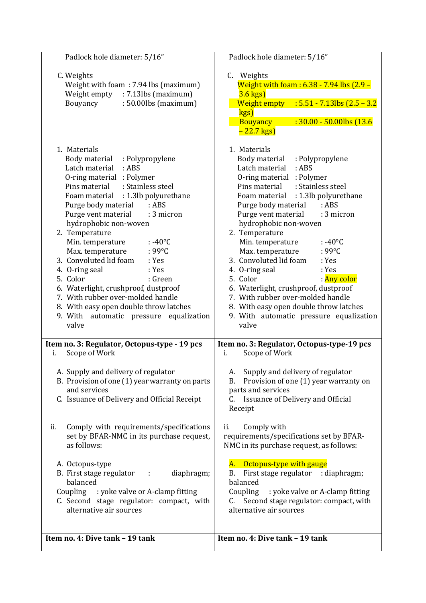| Padlock hole diameter: 5/16"                                                                                                                          | Padlock hole diameter: 5/16"                                                                                                                                                                      |
|-------------------------------------------------------------------------------------------------------------------------------------------------------|---------------------------------------------------------------------------------------------------------------------------------------------------------------------------------------------------|
| C. Weights<br>Weight with foam: 7.94 lbs (maximum)<br>$: 7.13$ lbs (maximum)<br>Weight empty<br>$: 50.00$ lbs (maximum)<br>Bouyancy                   | C. Weights<br>Weight with foam: 6.38 - 7.94 lbs (2.9 -<br>$3.6$ kgs)<br>Weight empty : $5.51 - 7.13$ lbs $(2.5 - 3.2)$<br>kgs)<br><b>Bouyancy</b><br>$: 30.00 - 50.00$ lbs (13.6)<br>$-22.7$ kgs) |
| 1. Materials                                                                                                                                          | 1. Materials                                                                                                                                                                                      |
| Body material : Polypropylene                                                                                                                         | Body material : Polypropylene                                                                                                                                                                     |
| Latch material : ABS                                                                                                                                  | Latch material : ABS                                                                                                                                                                              |
| O-ring material : Polymer                                                                                                                             | O-ring material : Polymer                                                                                                                                                                         |
| : Stainless steel                                                                                                                                     | Pins material                                                                                                                                                                                     |
| Pins material                                                                                                                                         | : Stainless steel                                                                                                                                                                                 |
| : 1.3lb polyurethane                                                                                                                                  | : 1.3lb polyurethane                                                                                                                                                                              |
| Foam material                                                                                                                                         | Foam material                                                                                                                                                                                     |
| Purge body material                                                                                                                                   | Purge body material                                                                                                                                                                               |
| :ABS                                                                                                                                                  | :ABS                                                                                                                                                                                              |
| Purge vent material                                                                                                                                   | Purge vent material                                                                                                                                                                               |
| : 3 micron                                                                                                                                            | : 3 micron                                                                                                                                                                                        |
| hydrophobic non-woven                                                                                                                                 | hydrophobic non-woven                                                                                                                                                                             |
| 2. Temperature                                                                                                                                        | 2. Temperature                                                                                                                                                                                    |
| : -40 $\mathrm{^{\circ}C}$                                                                                                                            | Min. temperature                                                                                                                                                                                  |
| Min. temperature                                                                                                                                      | $: -40^{\circ}$ C                                                                                                                                                                                 |
| Max. temperature                                                                                                                                      | Max. temperature                                                                                                                                                                                  |
| $:99^{\circ}$ C                                                                                                                                       | $:99^{\circ}$ C                                                                                                                                                                                   |
| 3. Convoluted lid foam                                                                                                                                | 3. Convoluted lid foam                                                                                                                                                                            |
| : Yes                                                                                                                                                 | : Yes                                                                                                                                                                                             |
| 4. O-ring seal                                                                                                                                        | 4. O-ring seal                                                                                                                                                                                    |
| : Yes                                                                                                                                                 | : Yes                                                                                                                                                                                             |
| 5. Color                                                                                                                                              | : <mark>Any color</mark>                                                                                                                                                                          |
| : Green                                                                                                                                               | 5. Color                                                                                                                                                                                          |
| 6. Waterlight, crushproof, dustproof                                                                                                                  | 6. Waterlight, crushproof, dustproof                                                                                                                                                              |
| 7. With rubber over-molded handle                                                                                                                     | 7. With rubber over-molded handle                                                                                                                                                                 |
| 8. With easy open double throw latches                                                                                                                | 8. With easy open double throw latches                                                                                                                                                            |
| 9. With automatic pressure equalization                                                                                                               | 9. With automatic pressure equalization                                                                                                                                                           |
| valve                                                                                                                                                 | valve                                                                                                                                                                                             |
| Item no. 3: Regulator, Octopus-type - 19 pcs                                                                                                          | Item no. 3: Regulator, Octopus-type-19 pcs                                                                                                                                                        |
| Scope of Work                                                                                                                                         | Scope of Work                                                                                                                                                                                     |
| i.                                                                                                                                                    | i.                                                                                                                                                                                                |
| A. Supply and delivery of regulator<br>B. Provision of one (1) year warranty on parts<br>and services<br>C. Issuance of Delivery and Official Receipt | Supply and delivery of regulator<br>A.<br>Provision of one (1) year warranty on<br>В.<br>parts and services<br>Issuance of Delivery and Official<br>C.<br>Receipt                                 |
| Comply with requirements/specifications                                                                                                               | Comply with                                                                                                                                                                                       |
| ii.                                                                                                                                                   | ii.                                                                                                                                                                                               |
| set by BFAR-NMC in its purchase request,                                                                                                              | requirements/specifications set by BFAR-                                                                                                                                                          |
| as follows:                                                                                                                                           | NMC in its purchase request, as follows:                                                                                                                                                          |
| A. Octopus-type                                                                                                                                       | A. Octopus-type with gauge                                                                                                                                                                        |
| B. First stage regulator                                                                                                                              | First stage regulator : diaphragm;                                                                                                                                                                |
| diaphragm;                                                                                                                                            | B.                                                                                                                                                                                                |
| $\sim 10$                                                                                                                                             | balanced                                                                                                                                                                                          |
| balanced                                                                                                                                              | Coupling                                                                                                                                                                                          |
| Coupling : yoke valve or A-clamp fitting                                                                                                              | : yoke valve or A-clamp fitting                                                                                                                                                                   |
| C. Second stage regulator: compact, with                                                                                                              | Second stage regulator: compact, with                                                                                                                                                             |
| alternative air sources                                                                                                                               | alternative air sources                                                                                                                                                                           |
| Item no. 4: Dive tank - 19 tank                                                                                                                       | Item no. 4: Dive tank - 19 tank                                                                                                                                                                   |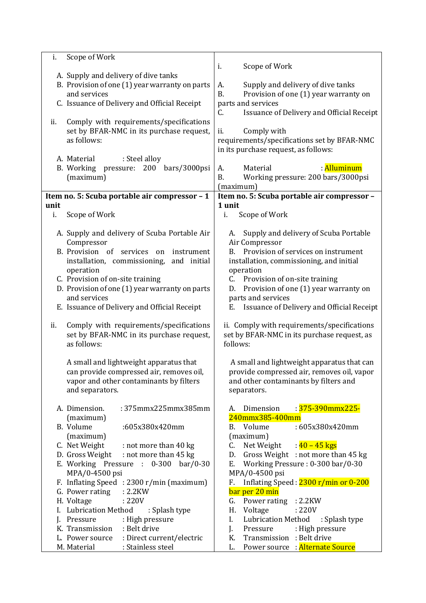| Scope of Work<br>i.                            |                                                    |
|------------------------------------------------|----------------------------------------------------|
|                                                | Scope of Work<br>i.                                |
| A. Supply and delivery of dive tanks           |                                                    |
| B. Provision of one (1) year warranty on parts | Supply and delivery of dive tanks<br>A.            |
| and services                                   | <b>B.</b><br>Provision of one (1) year warranty on |
| C. Issuance of Delivery and Official Receipt   | parts and services                                 |
|                                                | Issuance of Delivery and Official Receipt<br>C.    |
|                                                |                                                    |
| Comply with requirements/specifications<br>ii. |                                                    |
| set by BFAR-NMC in its purchase request,       | ii.<br>Comply with                                 |
| as follows:                                    | requirements/specifications set by BFAR-NMC        |
|                                                | in its purchase request, as follows:               |
| : Steel alloy<br>A. Material                   |                                                    |
| B. Working pressure:<br>200<br>bars/3000psi    | Material<br>: Alluminum<br>А.                      |
| (maximum)                                      | Working pressure: 200 bars/3000psi<br>B.           |
|                                                | (maximum)                                          |
| Item no. 5: Scuba portable air compressor - 1  | Item no. 5: Scuba portable air compressor -        |
| unit                                           | 1 unit                                             |
| Scope of Work<br>i.                            | i.<br>Scope of Work                                |
|                                                |                                                    |
|                                                |                                                    |
| A. Supply and delivery of Scuba Portable Air   | Supply and delivery of Scuba Portable<br>А.        |
| Compressor                                     | Air Compressor                                     |
| B. Provision of services<br>on<br>instrument   | Provision of services on instrument<br>В.          |
| installation, commissioning,<br>and initial    | installation, commissioning, and initial           |
| operation                                      | operation                                          |
| C. Provision of on-site training               | Provision of on-site training<br>C.                |
| D. Provision of one (1) year warranty on parts | Provision of one (1) year warranty on<br>D.        |
| and services                                   | parts and services                                 |
| E. Issuance of Delivery and Official Receipt   | Issuance of Delivery and Official Receipt<br>Е.    |
|                                                |                                                    |
| Comply with requirements/specifications<br>ii. | ii. Comply with requirements/specifications        |
| set by BFAR-NMC in its purchase request,       | set by BFAR-NMC in its purchase request, as        |
| as follows:                                    | follows:                                           |
|                                                |                                                    |
|                                                |                                                    |
| A small and lightweight apparatus that         | A small and lightweight apparatus that can         |
| can provide compressed air, removes oil,       | provide compressed air, removes oil, vapor         |
| vapor and other contaminants by filters        | and other contaminants by filters and              |
| and separators.                                | separators.                                        |
|                                                |                                                    |
| :375mmx225mmx385mm<br>A. Dimension.            | : 375-390mmx225-<br>Dimension<br>А.                |
| (maximum)                                      | 240mmx385-400mm                                    |
| B. Volume<br>:605x380x420mm                    | :605x380x420mm<br>Volume<br>В.                     |
| (maximum)                                      | (maximum)                                          |
| C. Net Weight<br>: not more than 40 kg         | : <mark>40 – 45 kgs</mark><br>Net Weight<br>C.     |
| D. Gross Weight : not more than 45 kg          | D. Gross Weight : not more than 45 kg              |
| E. Working Pressure : 0-300 bar/0-30           | Working Pressure: 0-300 bar/0-30<br>Е.             |
| MPA/0-4500 psi                                 | MPA/0-4500 psi                                     |
|                                                |                                                    |
| F. Inflating Speed: 2300 r/min (maximum)       | Inflating Speed: 2300 r/min or 0-200<br>F.         |
| G. Power rating<br>:2.2KW                      | bar per 20 min                                     |
| H. Voltage<br>: 220V                           | Power rating : 2.2KW<br>G.                         |
| I. Lubrication Method<br>: Splash type         | Н.<br>Voltage<br>:220V                             |
| J. Pressure<br>: High pressure                 | I.<br><b>Lubrication Method</b><br>: Splash type   |
| : Belt drive<br>K. Transmission                | J.<br>Pressure<br>: High pressure                  |
| : Direct current/electric<br>L. Power source   | Transmission : Belt drive<br>K.                    |
| : Stainless steel<br>M. Material               | Power source: Alternate Source<br>L.               |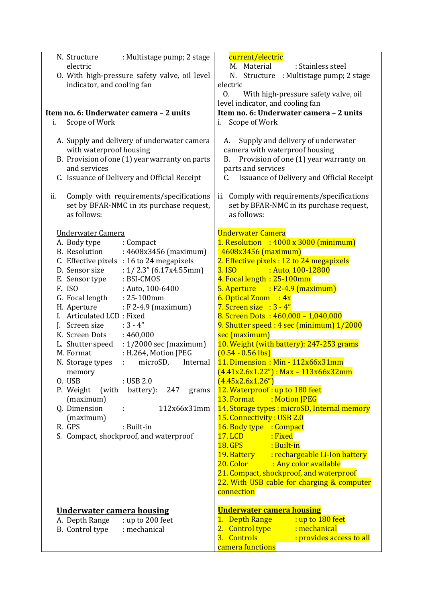| : Multistage pump; 2 stage<br>N. Structure<br>electric<br>O. With high-pressure safety valve, oil level<br>indicator, and cooling fan                                                    | current/electric<br>M. Material<br>: Stainless steel<br>N. Structure : Multistage pump; 2 stage<br>electric<br>With high-pressure safety valve, oil<br>0.<br>level indicator, and cooling fan     |
|------------------------------------------------------------------------------------------------------------------------------------------------------------------------------------------|---------------------------------------------------------------------------------------------------------------------------------------------------------------------------------------------------|
| Item no. 6: Underwater camera - 2 units                                                                                                                                                  | Item no. 6: Underwater camera - 2 units                                                                                                                                                           |
| Scope of Work<br>i.                                                                                                                                                                      | i. Scope of Work                                                                                                                                                                                  |
| A. Supply and delivery of underwater camera<br>with waterproof housing<br>B. Provision of one (1) year warranty on parts<br>and services<br>C. Issuance of Delivery and Official Receipt | Supply and delivery of underwater<br>A.<br>camera with waterproof housing<br>Provision of one (1) year warranty on<br>В.<br>parts and services<br>Issuance of Delivery and Official Receipt<br>C. |
| Comply with requirements/specifications<br>ii.<br>set by BFAR-NMC in its purchase request,<br>as follows:                                                                                | ii. Comply with requirements/specifications<br>set by BFAR-NMC in its purchase request,<br>as follows:                                                                                            |
| Underwater Camera                                                                                                                                                                        | <b>Underwater Camera</b>                                                                                                                                                                          |
| A. Body type<br>: Compact                                                                                                                                                                | 1. Resolution : $4000 \times 3000$ (minimum)                                                                                                                                                      |
| <b>B.</b> Resolution<br>: 4608x3456 (maximum)                                                                                                                                            | 4608x3456 (maximum)<br>2. Effective pixels : 12 to 24 megapixels                                                                                                                                  |
| C. Effective pixels : 16 to 24 megapixels<br>D. Sensor size<br>: $1/2.3$ " (6.17x4.55mm)                                                                                                 | : Auto, 100-12800<br>3. ISO                                                                                                                                                                       |
| : BSI-CMOS<br>E. Sensor type                                                                                                                                                             | 4. Focal length: 25-100mm                                                                                                                                                                         |
| F. ISO<br>: Auto, 100-6400                                                                                                                                                               | $5.$ Aperture : F2-4.9 (maximum)                                                                                                                                                                  |
| : 25-100mm<br>G. Focal length                                                                                                                                                            | 6. Optical Zoom $: 4x$                                                                                                                                                                            |
| H. Aperture<br>: F 2-4.9 (maximum)                                                                                                                                                       | 7. Screen size : $3 - 4$ "                                                                                                                                                                        |
| I. Articulated LCD: Fixed                                                                                                                                                                | 8. Screen Dots: $460,000 - 1,040,000$                                                                                                                                                             |
| $:3 - 4"$<br>J. Screen size                                                                                                                                                              | 9. Shutter speed: 4 sec (minimum) 1/2000                                                                                                                                                          |
| K. Screen Dots<br>:460,000                                                                                                                                                               | sec (maximum)                                                                                                                                                                                     |
| : 1/2000 sec (maximum)<br>L. Shutter speed                                                                                                                                               | 10. Weight (with battery): 247-253 grams                                                                                                                                                          |
| : H.264, Motion JPEG<br>M. Format                                                                                                                                                        | $(0.54 - 0.56$ lbs)                                                                                                                                                                               |
| N. Storage types<br>microSD,<br>Internal<br>÷.                                                                                                                                           | 11. Dimension: Min - 112x66x31mm                                                                                                                                                                  |
| memory                                                                                                                                                                                   | $(4.41x2.6x1.22")$ : Max - 113x66x32mm                                                                                                                                                            |
| O. USB<br>: USB 2.0<br>P. Weight (with<br>battery):<br>247<br>grams                                                                                                                      | (4.45x2.6x1.26")<br>12. Waterproof: up to 180 feet                                                                                                                                                |
| (maximum)                                                                                                                                                                                | 13. Format : Motion JPEG                                                                                                                                                                          |
| Q. Dimension<br>112x66x31mm<br>÷.                                                                                                                                                        | 14. Storage types: microSD, Internal memory                                                                                                                                                       |
| (maximum)                                                                                                                                                                                | 15. Connectivity: USB 2.0                                                                                                                                                                         |
| R. GPS<br>: Built-in                                                                                                                                                                     | 16. Body type : Compact                                                                                                                                                                           |
| S. Compact, shockproof, and waterproof                                                                                                                                                   | <b>17. LCD</b><br>: Fixed                                                                                                                                                                         |
|                                                                                                                                                                                          | <b>18. GPS</b><br>: Built-in                                                                                                                                                                      |
|                                                                                                                                                                                          | 19. Battery<br>rechargeable Li-Ion battery:                                                                                                                                                       |
|                                                                                                                                                                                          | 20. Color<br>: Any color available                                                                                                                                                                |
|                                                                                                                                                                                          | 21. Compact, shockproof, and waterproof<br>22. With USB cable for charging & computer                                                                                                             |
|                                                                                                                                                                                          | connection                                                                                                                                                                                        |
|                                                                                                                                                                                          |                                                                                                                                                                                                   |
| <b>Underwater camera housing</b>                                                                                                                                                         | <b>Underwater camera housing</b>                                                                                                                                                                  |
| : up to 200 feet<br>A. Depth Range                                                                                                                                                       | 1. Depth Range<br>: up to 180 feet                                                                                                                                                                |
| B. Control type<br>: mechanical                                                                                                                                                          | 2. Control type<br>: mechanical<br>3. Controls                                                                                                                                                    |
|                                                                                                                                                                                          | : provides access to all<br>camera functions                                                                                                                                                      |